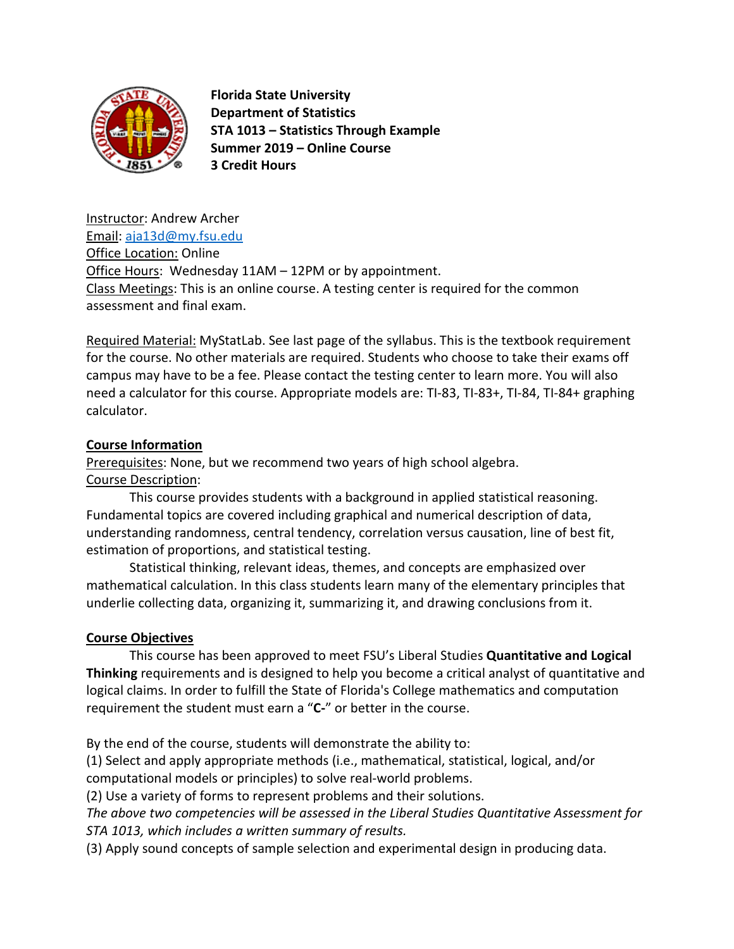

 **Florida State University Department of Statistics STA 1013 – Statistics Through Example Summer 2019 – Online Course 3 Credit Hours**

Instructor: Andrew Archer Email: [aja13d@my.fsu.edu](mailto:aja13d@my.fsu.edu) Office Location: Online Office Hours: Wednesday 11AM – 12PM or by appointment. Class Meetings: This is an online course. A testing center is required for the common assessment and final exam.

Required Material: MyStatLab. See last page of the syllabus. This is the textbook requirement for the course. No other materials are required. Students who choose to take their exams off campus may have to be a fee. Please contact the testing center to learn more. You will also need a calculator for this course. Appropriate models are: TI-83, TI-83+, TI-84, TI-84+ graphing calculator.

# **Course Information**

Prerequisites: None, but we recommend two years of high school algebra. Course Description:

This course provides students with a background in applied statistical reasoning. Fundamental topics are covered including graphical and numerical description of data, understanding randomness, central tendency, correlation versus causation, line of best fit, estimation of proportions, and statistical testing.

Statistical thinking, relevant ideas, themes, and concepts are emphasized over mathematical calculation. In this class students learn many of the elementary principles that underlie collecting data, organizing it, summarizing it, and drawing conclusions from it.

### **Course Objectives**

This course has been approved to meet FSU's Liberal Studies **Quantitative and Logical Thinking** requirements and is designed to help you become a critical analyst of quantitative and logical claims. In order to fulfill the State of Florida's College mathematics and computation requirement the student must earn a "**C-**" or better in the course.

By the end of the course, students will demonstrate the ability to:

(1) Select and apply appropriate methods (i.e., mathematical, statistical, logical, and/or computational models or principles) to solve real-world problems.

(2) Use a variety of forms to represent problems and their solutions.

*The above two competencies will be assessed in the Liberal Studies Quantitative Assessment for STA 1013, which includes a written summary of results.*

(3) Apply sound concepts of sample selection and experimental design in producing data.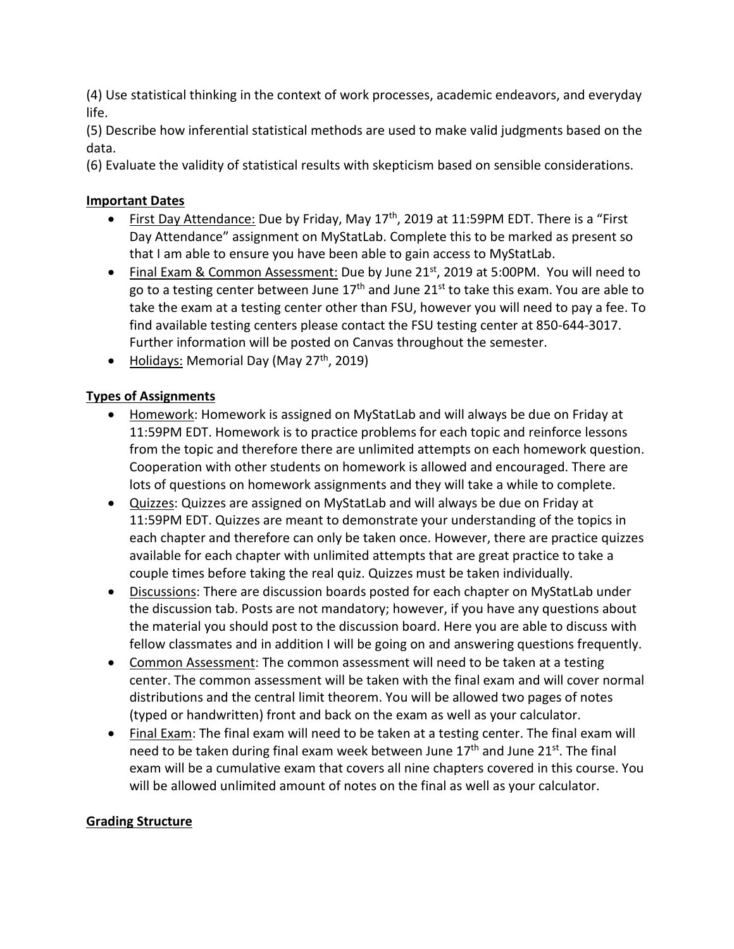(4) Use statistical thinking in the context of work processes, academic endeavors, and everyday life.

(5) Describe how inferential statistical methods are used to make valid judgments based on the data.

(6) Evaluate the validity of statistical results with skepticism based on sensible considerations.

# **Important Dates**

- First Day Attendance: Due by Friday, May 17<sup>th</sup>, 2019 at 11:59PM EDT. There is a "First Day Attendance" assignment on MyStatLab. Complete this to be marked as present so that I am able to ensure you have been able to gain access to MyStatLab.
- Final Exam & Common Assessment: Due by June 21<sup>st</sup>, 2019 at 5:00PM. You will need to go to a testing center between June  $17<sup>th</sup>$  and June  $21<sup>st</sup>$  to take this exam. You are able to take the exam at a testing center other than FSU, however you will need to pay a fee. To find available testing centers please contact the FSU testing center at 850-644-3017. Further information will be posted on Canvas throughout the semester.
- Holidays: Memorial Day (May  $27<sup>th</sup>$ , 2019)

# **Types of Assignments**

- Homework: Homework is assigned on MyStatLab and will always be due on Friday at 11:59PM EDT. Homework is to practice problems for each topic and reinforce lessons from the topic and therefore there are unlimited attempts on each homework question. Cooperation with other students on homework is allowed and encouraged. There are lots of questions on homework assignments and they will take a while to complete.
- Quizzes: Quizzes are assigned on MyStatLab and will always be due on Friday at 11:59PM EDT. Quizzes are meant to demonstrate your understanding of the topics in each chapter and therefore can only be taken once. However, there are practice quizzes available for each chapter with unlimited attempts that are great practice to take a couple times before taking the real quiz. Quizzes must be taken individually.
- Discussions: There are discussion boards posted for each chapter on MyStatLab under the discussion tab. Posts are not mandatory; however, if you have any questions about the material you should post to the discussion board. Here you are able to discuss with fellow classmates and in addition I will be going on and answering questions frequently.
- Common Assessment: The common assessment will need to be taken at a testing center. The common assessment will be taken with the final exam and will cover normal distributions and the central limit theorem. You will be allowed two pages of notes (typed or handwritten) front and back on the exam as well as your calculator.
- Final Exam: The final exam will need to be taken at a testing center. The final exam will need to be taken during final exam week between June 17<sup>th</sup> and June 21st. The final exam will be a cumulative exam that covers all nine chapters covered in this course. You will be allowed unlimited amount of notes on the final as well as your calculator.

# **Grading Structure**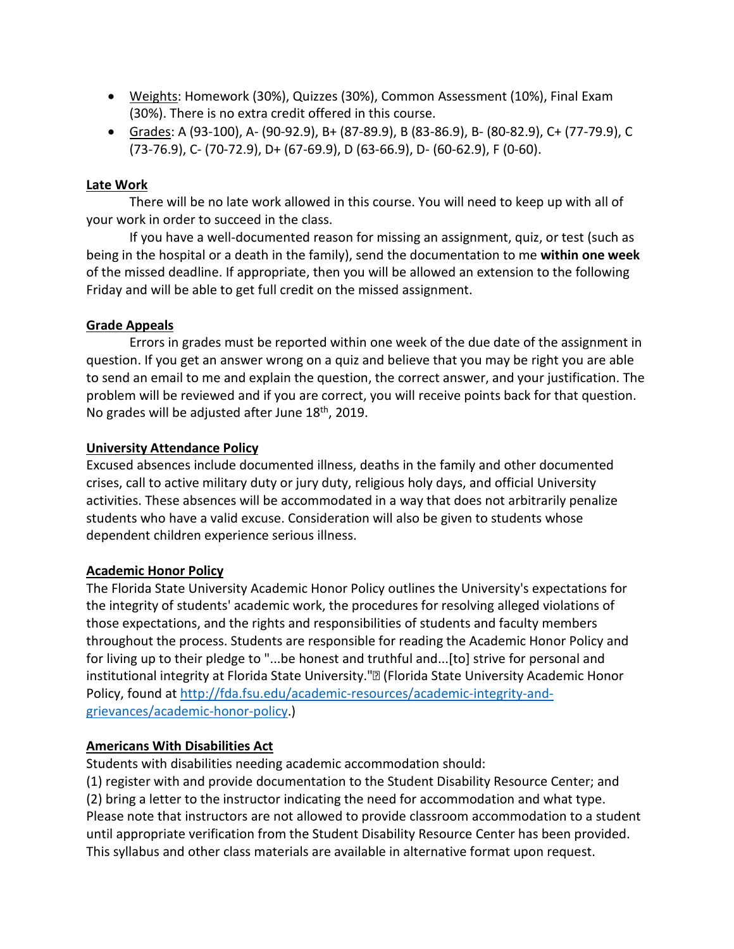- Weights: Homework (30%), Quizzes (30%), Common Assessment (10%), Final Exam (30%). There is no extra credit offered in this course.
- Grades: A (93-100), A- (90-92.9), B+ (87-89.9), B (83-86.9), B- (80-82.9), C+ (77-79.9), C (73-76.9), C- (70-72.9), D+ (67-69.9), D (63-66.9), D- (60-62.9), F (0-60).

## **Late Work**

There will be no late work allowed in this course. You will need to keep up with all of your work in order to succeed in the class.

If you have a well-documented reason for missing an assignment, quiz, or test (such as being in the hospital or a death in the family), send the documentation to me **within one week** of the missed deadline. If appropriate, then you will be allowed an extension to the following Friday and will be able to get full credit on the missed assignment.

# **Grade Appeals**

Errors in grades must be reported within one week of the due date of the assignment in question. If you get an answer wrong on a quiz and believe that you may be right you are able to send an email to me and explain the question, the correct answer, and your justification. The problem will be reviewed and if you are correct, you will receive points back for that question. No grades will be adjusted after June 18<sup>th</sup>, 2019.

# **University Attendance Policy**

Excused absences include documented illness, deaths in the family and other documented crises, call to active military duty or jury duty, religious holy days, and official University activities. These absences will be accommodated in a way that does not arbitrarily penalize students who have a valid excuse. Consideration will also be given to students whose dependent children experience serious illness.

# **Academic Honor Policy**

The Florida State University Academic Honor Policy outlines the University's expectations for the integrity of students' academic work, the procedures for resolving alleged violations of those expectations, and the rights and responsibilities of students and faculty members throughout the process. Students are responsible for reading the Academic Honor Policy and for living up to their pledge to "...be honest and truthful and...[to] strive for personal and institutional integrity at Florida State University."<sup>[2]</sup> (Florida State University Academic Honor Policy, found at [http://fda.fsu.edu/academic-resources/academic-integrity-and](http://fda.fsu.edu/academic-resources/academic-integrity-and-grievances/academic-honor-policy)[grievances/academic-honor-policy.](http://fda.fsu.edu/academic-resources/academic-integrity-and-grievances/academic-honor-policy))

### **Americans With Disabilities Act**

Students with disabilities needing academic accommodation should:

(1) register with and provide documentation to the Student Disability Resource Center; and (2) bring a letter to the instructor indicating the need for accommodation and what type. Please note that instructors are not allowed to provide classroom accommodation to a student until appropriate verification from the Student Disability Resource Center has been provided. This syllabus and other class materials are available in alternative format upon request.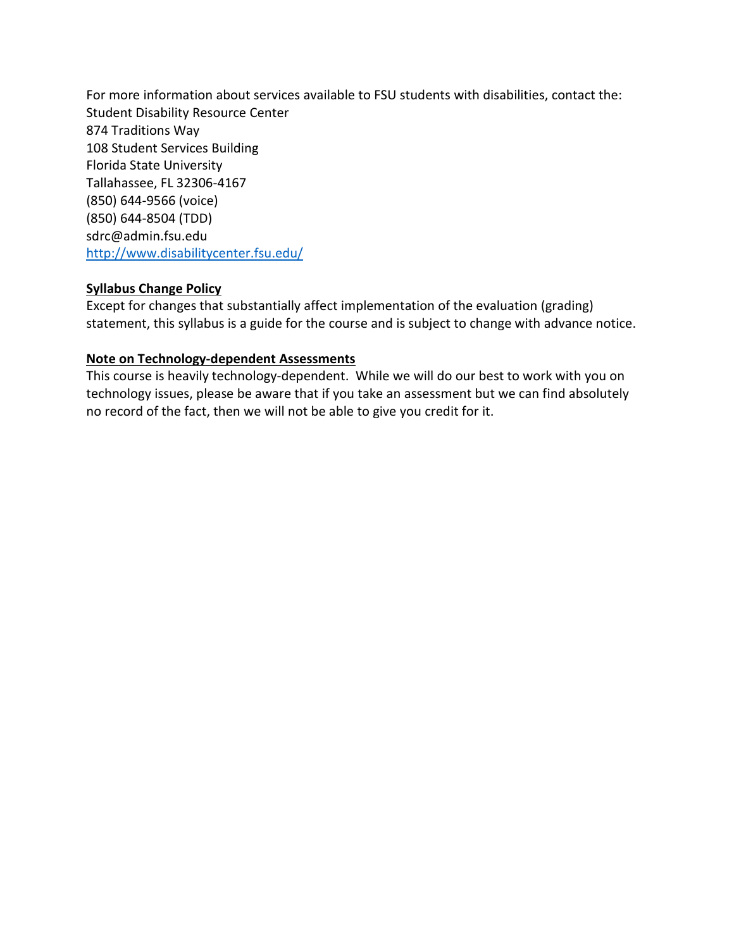For more information about services available to FSU students with disabilities, contact the: Student Disability Resource Center 874 Traditions Way 108 Student Services Building Florida State University Tallahassee, FL 32306-4167 (850) 644-9566 (voice) (850) 644-8504 (TDD) sdrc@admin.fsu.edu <http://www.disabilitycenter.fsu.edu/>

# **Syllabus Change Policy**

Except for changes that substantially affect implementation of the evaluation (grading) statement, this syllabus is a guide for the course and is subject to change with advance notice.

# **Note on Technology-dependent Assessments**

This course is heavily technology-dependent. While we will do our best to work with you on technology issues, please be aware that if you take an assessment but we can find absolutely no record of the fact, then we will not be able to give you credit for it.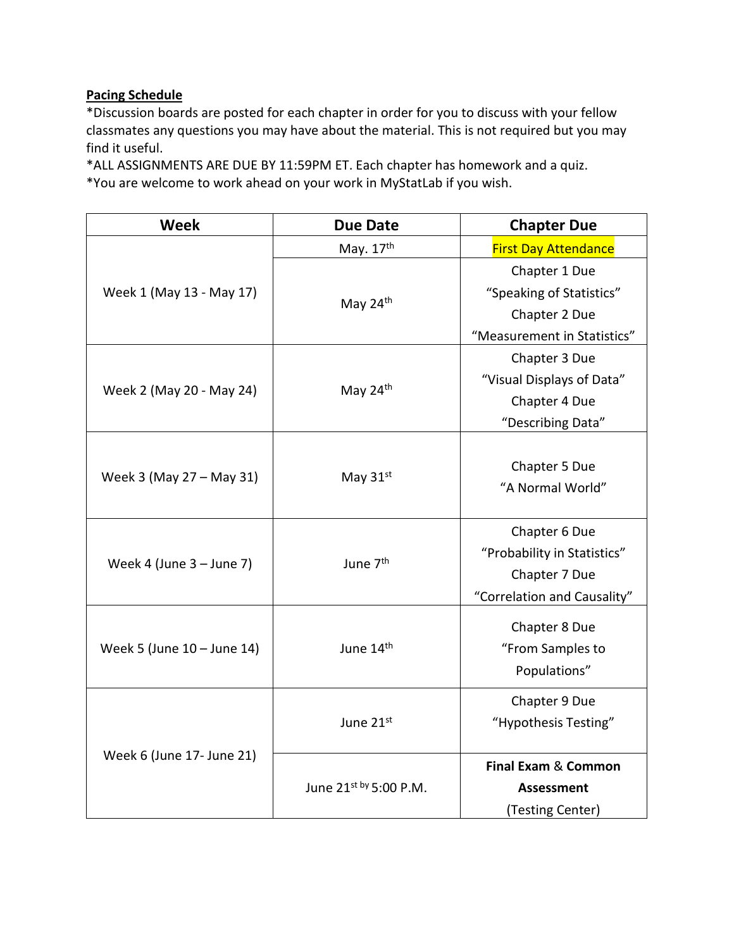# **Pacing Schedule**

\*Discussion boards are posted for each chapter in order for you to discuss with your fellow classmates any questions you may have about the material. This is not required but you may find it useful.

\*ALL ASSIGNMENTS ARE DUE BY 11:59PM ET. Each chapter has homework and a quiz. \*You are welcome to work ahead on your work in MyStatLab if you wish.

| <b>Week</b>                | <b>Due Date</b>                     | <b>Chapter Due</b>             |
|----------------------------|-------------------------------------|--------------------------------|
| Week 1 (May 13 - May 17)   | May. 17th                           | <b>First Day Attendance</b>    |
|                            | May 24th                            | Chapter 1 Due                  |
|                            |                                     | "Speaking of Statistics"       |
|                            |                                     | Chapter 2 Due                  |
|                            |                                     | "Measurement in Statistics"    |
| Week 2 (May 20 - May 24)   | May 24th                            | Chapter 3 Due                  |
|                            |                                     | "Visual Displays of Data"      |
|                            |                                     | Chapter 4 Due                  |
|                            |                                     | "Describing Data"              |
| Week 3 (May 27 – May 31)   | May $31st$                          |                                |
|                            |                                     | Chapter 5 Due                  |
|                            |                                     | "A Normal World"               |
|                            |                                     |                                |
| Week 4 (June $3 -$ June 7) | June 7 <sup>th</sup>                | Chapter 6 Due                  |
|                            |                                     | "Probability in Statistics"    |
|                            |                                     | Chapter 7 Due                  |
|                            |                                     | "Correlation and Causality"    |
| Week 5 (June 10 - June 14) | June 14 <sup>th</sup>               | Chapter 8 Due                  |
|                            |                                     | "From Samples to               |
|                            |                                     | Populations"                   |
|                            |                                     |                                |
| Week 6 (June 17- June 21)  | June 21st<br>June 21st by 5:00 P.M. | Chapter 9 Due                  |
|                            |                                     | "Hypothesis Testing"           |
|                            |                                     |                                |
|                            |                                     | <b>Final Exam &amp; Common</b> |
|                            |                                     | Assessment                     |
|                            |                                     | (Testing Center)               |